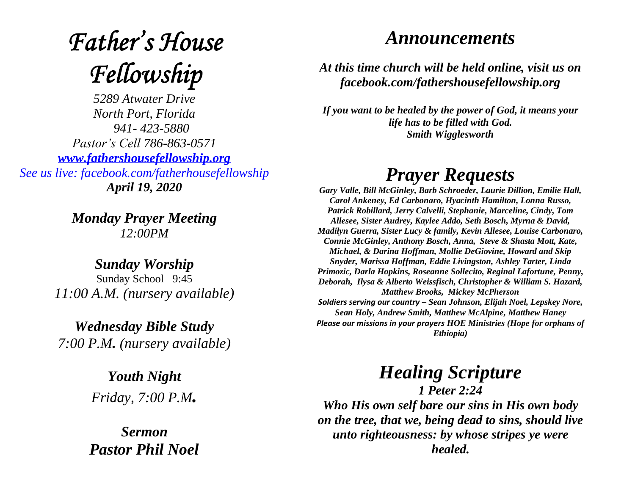# **Father's House** Fellowship

*5289 Atwater Drive North Port, Florida 941- 423-5880 Pastor's Cell 786-863-0571 [www.fathershousefellowship.org](http://www.fathershousefellowship.org/) See us live: facebook.com/fatherhousefellowship April 19, 2020*

> *Monday Prayer Meeting 12:00PM*

*Sunday Worship* Sunday School 9:45 *11:00 A.M. (nursery available)*

*Wednesday Bible Study 7:00 P.M. (nursery available)*

> *Youth Night Friday, 7:00 P.M.*

*Sermon Pastor Phil Noel*

#### *Announcements*

*At this time church will be held online, visit us on facebook.com/fathershousefellowship.org*

*If you want to be healed by the power of God, it means your life has to be filled with God. Smith Wigglesworth*

### *Prayer Requests*

*Gary Valle, Bill McGinley, Barb Schroeder, Laurie Dillion, Emilie Hall, Carol Ankeney, Ed Carbonaro, Hyacinth Hamilton, Lonna Russo, Patrick Robillard, Jerry Calvelli, Stephanie, Marceline, Cindy, Tom Allesee, Sister Audrey, Kaylee Addo, Seth Bosch, Myrna & David, Madilyn Guerra, Sister Lucy & family, Kevin Allesee, Louise Carbonaro, Connie McGinley, Anthony Bosch, Anna, Steve & Shasta Mott, Kate, Michael, & Darina Hoffman, Mollie DeGiovine, Howard and Skip Snyder, Marissa Hoffman, Eddie Livingston, Ashley Tarter, Linda Primozic, Darla Hopkins, Roseanne Sollecito, Reginal Lafortune, Penny, Deborah, Ilysa & Alberto Weissfisch, Christopher & William S. Hazard, Matthew Brooks, Mickey McPherson Soldiers serving our country – Sean Johnson, Elijah Noel, Lepskey Nore, Sean Holy, Andrew Smith, Matthew McAlpine, Matthew Haney Please our missions in your prayers HOE Ministries (Hope for orphans of Ethiopia)*

## *Healing Scripture*

*1 Peter 2:24 Who His own self bare our sins in His own body on the tree, that we, being dead to sins, should live unto righteousness: by whose stripes ye were healed.*